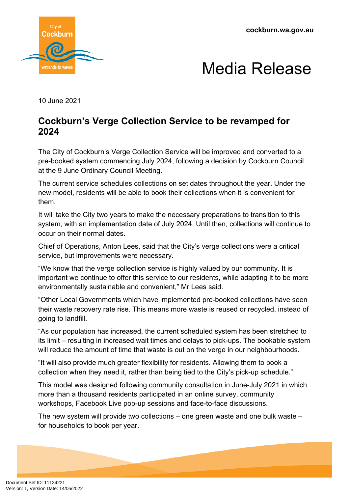**cockburn.wa.gov.au**





10 June 2021

## **Cockburn's Verge Collection Service to be revamped for 2024**

The City of Cockburn's Verge Collection Service will be improved and converted to a pre-booked system commencing July 2024, following a decision by Cockburn Council at the 9 June Ordinary Council Meeting.

The current service schedules collections on set dates throughout the year. Under the new model, residents will be able to book their collections when it is convenient for them.

It will take the City two years to make the necessary preparations to transition to this system, with an implementation date of July 2024. Until then, collections will continue to occur on their normal dates.

Chief of Operations, Anton Lees, said that the City's verge collections were a critical service, but improvements were necessary.

"We know that the verge collection service is highly valued by our community. It is important we continue to offer this service to our residents, while adapting it to be more environmentally sustainable and convenient," Mr Lees said.

"Other Local Governments which have implemented pre-booked collections have seen their waste recovery rate rise. This means more waste is reused or recycled, instead of going to landfill.

"As our population has increased, the current scheduled system has been stretched to its limit – resulting in increased wait times and delays to pick-ups. The bookable system will reduce the amount of time that waste is out on the verge in our neighbourhoods.

"It will also provide much greater flexibility for residents. Allowing them to book a collection when they need it, rather than being tied to the City's pick-up schedule."

This model was designed following community consultation in June-July 2021 in which more than a thousand residents participated in an online survey, community workshops, Facebook Live pop-up sessions and face-to-face discussions.

The new system will provide two collections – one green waste and one bulk waste – for households to book per year.